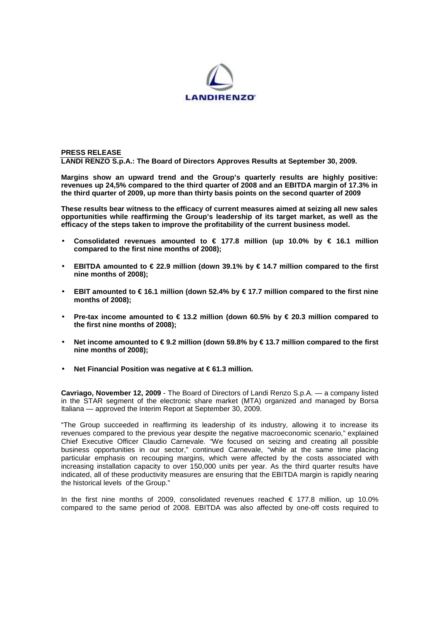

# **PRESS RELEASE LANDI RENZO S.p.A.: The Board of Directors Approves Results at September 30, 2009.**

**Margins show an upward trend and the Group's quarterly results are highly positive: revenues up 24,5% compared to the third quarter of 2008 and an EBITDA margin of 17.3% in the third quarter of 2009, up more than thirty basis points on the second quarter of 2009** 

**These results bear witness to the efficacy of current measures aimed at seizing all new sales opportunities while reaffirming the Group's leadership of its target market, as well as the efficacy of the steps taken to improve the profitability of the current business model.** 

- **Consolidated revenues amounted to € 177.8 million (up 10.0% by € 16.1 million compared to the first nine months of 2008);**
- **EBITDA amounted to € 22.9 million (down 39.1% by € 14.7 million compared to the first nine months of 2008);**
- **EBIT amounted to**  $\in$  **16.1 million (down 52.4% by**  $\in$  **177 million compared to the first nine months of 2008);**
- **Pre-tax income amounted to € 13.2 million (down 60.5% by € 20.3 million compared to the first nine months of 2008);**
- **Net income amounted to € 9.2 million (down 59.8% by € 13.7 million compared to the first nine months of 2008);**
- **Net Financial Position was negative at € 61.3 million.**

**Cavriago, November 12, 2009** - The Board of Directors of Landi Renzo S.p.A. — a company listed in the STAR segment of the electronic share market (MTA) organized and managed by Borsa Italiana — approved the Interim Report at September 30, 2009.

"The Group succeeded in reaffirming its leadership of its industry, allowing it to increase its revenues compared to the previous year despite the negative macroeconomic scenario," explained Chief Executive Officer Claudio Carnevale. "We focused on seizing and creating all possible business opportunities in our sector," continued Carnevale, "while at the same time placing particular emphasis on recouping margins, which were affected by the costs associated with increasing installation capacity to over 150,000 units per year. As the third quarter results have indicated, all of these productivity measures are ensuring that the EBITDA margin is rapidly nearing the historical levels of the Group."

In the first nine months of 2009, consolidated revenues reached  $\epsilon$  177.8 million, up 10.0% compared to the same period of 2008. EBITDA was also affected by one-off costs required to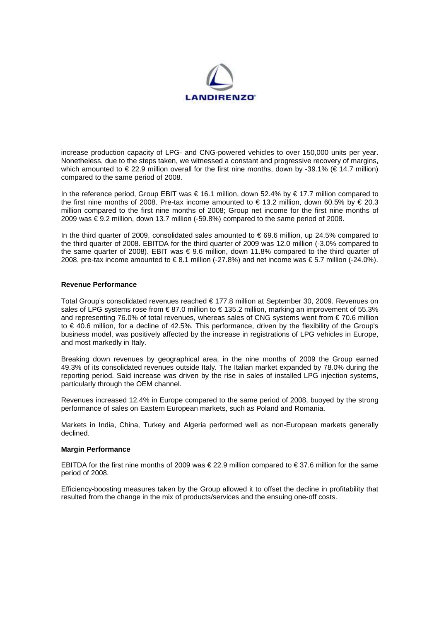

increase production capacity of LPG- and CNG-powered vehicles to over 150,000 units per year. Nonetheless, due to the steps taken, we witnessed a constant and progressive recovery of margins, which amounted to  $\epsilon$  22.9 million overall for the first nine months, down by -39.1% ( $\epsilon$  14.7 million) compared to the same period of 2008.

In the reference period, Group EBIT was € 16.1 million, down 52.4% by € 17.7 million compared to the first nine months of 2008. Pre-tax income amounted to € 13.2 million, down 60.5% by € 20.3 million compared to the first nine months of 2008; Group net income for the first nine months of 2009 was € 9.2 million, down 13.7 million (-59.8%) compared to the same period of 2008.

In the third quarter of 2009, consolidated sales amounted to  $\epsilon$  69.6 million, up 24.5% compared to the third quarter of 2008. EBITDA for the third quarter of 2009 was 12.0 million (-3.0% compared to the same quarter of 2008). EBIT was € 9.6 million, down 11.8% compared to the third quarter of 2008, pre-tax income amounted to € 8.1 million (-27.8%) and net income was € 5.7 million (-24.0%).

## **Revenue Performance**

Total Group's consolidated revenues reached € 177.8 million at September 30, 2009. Revenues on sales of LPG systems rose from € 87.0 million to €135.2 million, marking an improvement of 55.3% and representing 76.0% of total revenues, whereas sales of CNG systems went from € 70.6 million to € 40.6 million, for a decline of 42.5%. This performance, driven by the flexibility of the Group's business model, was positively affected by the increase in registrations of LPG vehicles in Europe, and most markedly in Italy.

Breaking down revenues by geographical area, in the nine months of 2009 the Group earned 49.3% of its consolidated revenues outside Italy. The Italian market expanded by 78.0% during the reporting period. Said increase was driven by the rise in sales of installed LPG injection systems, particularly through the OEM channel.

Revenues increased 12.4% in Europe compared to the same period of 2008, buoyed by the strong performance of sales on Eastern European markets, such as Poland and Romania.

Markets in India, China, Turkey and Algeria performed well as non-European markets generally declined.

## **Margin Performance**

EBITDA for the first nine months of 2009 was  $\epsilon$  22.9 million compared to  $\epsilon$  37.6 million for the same period of 2008.

Efficiency-boosting measures taken by the Group allowed it to offset the decline in profitability that resulted from the change in the mix of products/services and the ensuing one-off costs.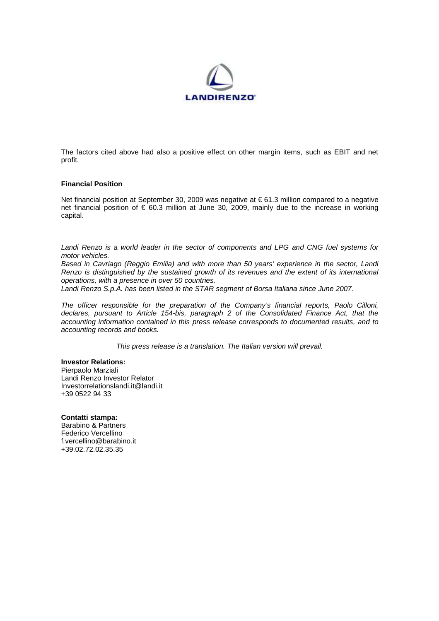

The factors cited above had also a positive effect on other margin items, such as EBIT and net profit.

#### **Financial Position**

Net financial position at September 30, 2009 was negative at € 61.3 million compared to a negative net financial position of € 60.3 million at June 30, 2009, mainly due to the increase in working capital.

Landi Renzo is a world leader in the sector of components and LPG and CNG fuel systems for motor vehicles.

Based in Cavriago (Reggio Emilia) and with more than 50 years' experience in the sector, Landi Renzo is distinguished by the sustained growth of its revenues and the extent of its international operations, with a presence in over 50 countries.

Landi Renzo S.p.A. has been listed in the STAR segment of Borsa Italiana since June 2007.

The officer responsible for the preparation of the Company's financial reports, Paolo Cilloni, declares, pursuant to Article 154-bis, paragraph 2 of the Consolidated Finance Act, that the accounting information contained in this press release corresponds to documented results, and to accounting records and books.

This press release is a translation. The Italian version will prevail.

# **Investor Relations:**

Pierpaolo Marziali Landi Renzo Investor Relator Investorrelationslandi.it@landi.it +39 0522 94 33

# **Contatti stampa:**

Barabino & Partners Federico Vercellino f.vercellino@barabino.it +39.02.72.02.35.35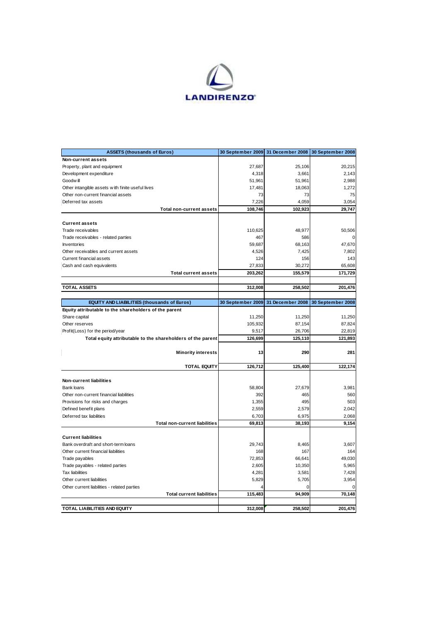

| <b>ASSETS (thousands of Euros)</b>                          | 30 September 2009 | 31 December 2008 | 30 September 2008 |
|-------------------------------------------------------------|-------------------|------------------|-------------------|
| Non-current assets                                          |                   |                  |                   |
| Property, plant and equipment                               | 27,687            | 25,106           | 20,215            |
| Development expenditure                                     | 4,318             | 3,661            | 2,143             |
| Goodwill                                                    | 51,961            | 51,961           | 2,988             |
| Other intangible assets with finite useful lives            | 17,481            | 18,063           | 1,272             |
| Other non-current financial assets                          | 73                | 73               | 75                |
| Deferred tax assets                                         | 7,226             | 4,059            | 3,054             |
| <b>Total non-current assets</b>                             | 108,746           | 102,923          | 29,747            |
|                                                             |                   |                  |                   |
| <b>Current assets</b>                                       |                   |                  |                   |
| Trade receivables                                           | 110,625           | 48.977           | 50,506            |
| Trade receivables - related parties                         | 467               | 586              |                   |
| Inventories                                                 | 59,687            | 68,163           | 47,670            |
| Other receivables and current assets                        | 4,526             | 7,425            | 7,802             |
| Current financial assets                                    | 124               | 156              | 143               |
| Cash and cash equivalents                                   | 27,833            | 30,272           | 65,608            |
| <b>Total current assets</b>                                 | 203,262           | 155,579          | 171,729           |
|                                                             |                   |                  |                   |
| <b>TOTAL ASSETS</b>                                         | 312,008           | 258,502          | 201,476           |
|                                                             |                   |                  |                   |
| <b>EQUITY AND LIABILITIES (thousands of Euros)</b>          | 30 September 2009 | 31 December 2008 | 30 September 2008 |
| Equity attributable to the shareholders of the parent       |                   |                  |                   |
| Share capital                                               | 11,250            | 11,250           | 11,250            |
| Other reserves                                              | 105,932           | 87,154           | 87,824            |
| Profit(Loss) for the period/year                            | 9,517             | 26,706           | 22,819            |
| Total equity attributable to the shareholders of the parent | 126,699           | 125,110          | 121,893           |
|                                                             |                   |                  |                   |
| <b>Minority interests</b>                                   | 13                | 290              | 281               |
|                                                             |                   |                  |                   |
| <b>TOTAL EQUITY</b>                                         | 126,712           | 125,400          | 122,174           |
|                                                             |                   |                  |                   |
| Non-current liabilities                                     |                   |                  |                   |
| Bank loans                                                  | 58,804            | 27,679           | 3,981             |
| Other non-current financial liabilities                     | 392               | 465              | 560               |
| Provisions for risks and charges                            | 1,355             | 495              | 503               |
| Defined benefit plans                                       | 2,559             | 2,579            | 2,042             |
| Deferred tax liabilities                                    | 6,703             | 6,975            | 2,068             |
| <b>Total non-current liabilities</b>                        | 69,813            | 38,193           | 9,154             |
|                                                             |                   |                  |                   |
| <b>Current liabilities</b>                                  |                   |                  |                   |
| Bank overdraft and short-term loans                         | 29,743            | 8,465            | 3,607             |
| Other current financial liabilities                         | 168               | 167              | 164               |
| Trade payables                                              | 72,853            | 66,641           | 49,030            |
| Trade payables - related parties                            | 2,605             | 10,350           | 5,965             |
| <b>Tax liabilities</b>                                      | 4,281             | 3,581            | 7,428             |
| Other current liabilities                                   | 5,829             | 5,705            | 3,954             |
| Other current liabilities - related parties                 |                   | 0                | 0                 |
| <b>Total current liabilities</b>                            | 115,483           | 94,909           | 70,148            |
|                                                             |                   |                  |                   |
| <b>TOTAL LIABILITIES AND EQUITY</b>                         | 312,008           | 258,502          | 201,476           |